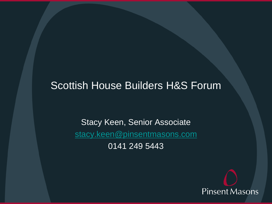#### Scottish House Builders H&S Forum

Stacy Keen, Senior Associate [stacy.keen@pinsentmasons.com](mailto:stacy.keen@pinsentmasons.com) 0141 249 5443

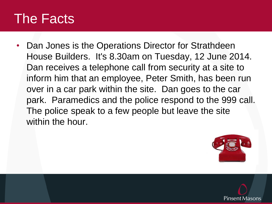#### The Facts

• Dan Jones is the Operations Director for Strathdeen House Builders. It's 8.30am on Tuesday, 12 June 2014. Dan receives a telephone call from security at a site to inform him that an employee, Peter Smith, has been run over in a car park within the site. Dan goes to the car park. Paramedics and the police respond to the 999 call. The police speak to a few people but leave the site within the hour.



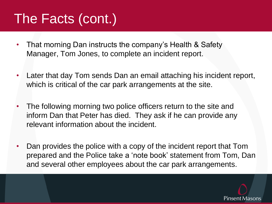## The Facts (cont.)

- That morning Dan instructs the company's Health & Safety Manager, Tom Jones, to complete an incident report.
- Later that day Tom sends Dan an email attaching his incident report, which is critical of the car park arrangements at the site.
- The following morning two police officers return to the site and inform Dan that Peter has died. They ask if he can provide any relevant information about the incident.
- Dan provides the police with a copy of the incident report that Tom prepared and the Police take a 'note book' statement from Tom, Dan and several other employees about the car park arrangements.

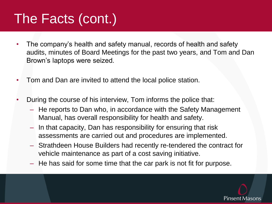## The Facts (cont.)

- The company's health and safety manual, records of health and safety audits, minutes of Board Meetings for the past two years, and Tom and Dan Brown's laptops were seized.
- Tom and Dan are invited to attend the local police station.
- During the course of his interview, Tom informs the police that:
	- He reports to Dan who, in accordance with the Safety Management Manual, has overall responsibility for health and safety.
	- In that capacity, Dan has responsibility for ensuring that risk assessments are carried out and procedures are implemented.
	- Strathdeen House Builders had recently re-tendered the contract for vehicle maintenance as part of a cost saving initiative.
	- He has said for some time that the car park is not fit for purpose.

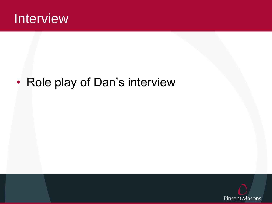

#### • Role play of Dan's interview

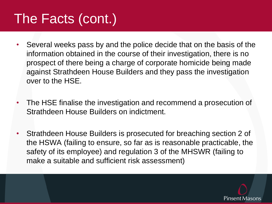## The Facts (cont.)

- Several weeks pass by and the police decide that on the basis of the information obtained in the course of their investigation, there is no prospect of there being a charge of corporate homicide being made against Strathdeen House Builders and they pass the investigation over to the HSE.
- The HSE finalise the investigation and recommend a prosecution of Strathdeen House Builders on indictment.
- Strathdeen House Builders is prosecuted for breaching section 2 of the HSWA (failing to ensure, so far as is reasonable practicable, the safety of its employee) and regulation 3 of the MHSWR (failing to make a suitable and sufficient risk assessment)

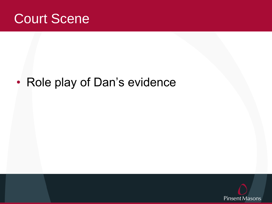

#### • Role play of Dan's evidence

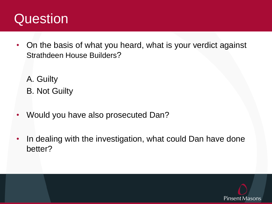#### Question

- On the basis of what you heard, what is your verdict against Strathdeen House Builders?
	- A. Guilty B. Not Guilty
- Would you have also prosecuted Dan?
- In dealing with the investigation, what could Dan have done better?

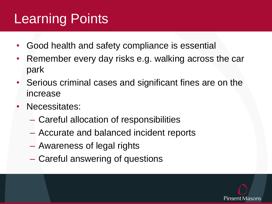# Learning Points

- Good health and safety compliance is essential
- Remember every day risks e.g. walking across the car park
- Serious criminal cases and significant fines are on the increase
- Necessitates:
	- Careful allocation of responsibilities
	- Accurate and balanced incident reports
	- Awareness of legal rights
	- Careful answering of questions

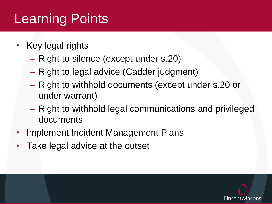# Learning Points

- Key legal rights
	- Right to silence (except under s.20)
	- Right to legal advice (Cadder judgment)
	- Right to withhold documents (except under s.20 or under warrant)
	- Right to withhold legal communications and privileged documents
- Implement Incident Management Plans
- Take legal advice at the outset